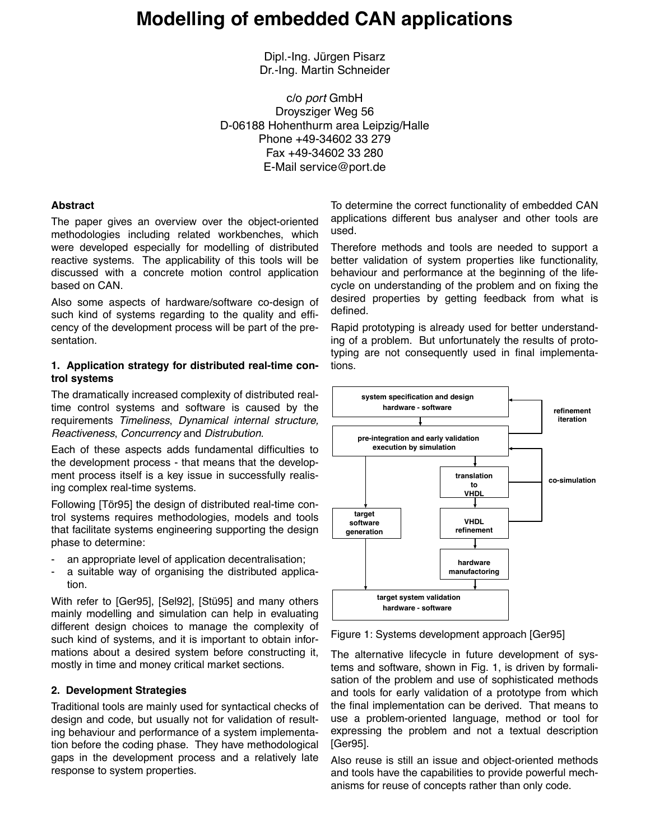# **Modelling of embedded CAN applications**

Dipl.-Ing. Jürgen Pisarz Dr.-Ing. Martin Schneider

c/o *port* GmbH Droysziger Weg 56 D-06188 Hohenthurm area Leipzig/Halle Phone +49-34602 33 279 Fax +49-34602 33 280 E-Mail service@port.de

#### **Abstract**

The paper gives an overview over the object-oriented methodologies including related workbenches, which were developed especially for modelling of distributed reactive systems. The applicability of this tools will be discussed with a concrete motion control application based on CAN.

Also some aspects of hardware/software co-design of such kind of systems regarding to the quality and efficency of the development process will be part of the presentation.

#### **1. Application strategy for distributed real-time control systems**

The dramatically increased complexity of distributed realtime control systems and software is caused by the requirements *Timeliness*, *Dynamical internal structure, Reactiveness, Concurrency* and *Distrubution.* 

Each of these aspects adds fundamental difficulties to the development process - that means that the development process itself is a key issue in successfully realising complex real-time systems.

Following [Tör95] the design of distributed real-time control systems requires methodologies, models and tools that facilitate systems engineering supporting the design phase to determine:

- an appropriate level of application decentralisation;
- a suitable way of organising the distributed application.

With refer to [Ger95], [Sel92], [Stü95] and many others mainly modelling and simulation can help in evaluating different design choices to manage the complexity of such kind of systems, and it is important to obtain informations about a desired system before constructing it, mostly in time and money critical market sections.

#### **2. Development Strategies**

Traditional tools are mainly used for syntactical checks of design and code, but usually not for validation of resulting behaviour and performance of a system implementation before the coding phase. They have methodological gaps in the development process and a relatively late response to system properties.

To determine the correct functionality of embedded CAN applications different bus analyser and other tools are used.

Therefore methods and tools are needed to support a better validation of system properties like functionality, behaviour and performance at the beginning of the lifecycle on understanding of the problem and on fixing the desired properties by getting feedback from what is defined.

Rapid prototyping is already used for better understanding of a problem. But unfortunately the results of prototyping are not consequently used in final implementations.



Figure 1: Systems development approach [Ger95]

The alternative lifecycle in future development of systems and software, shown in Fig. 1, is driven by formalisation of the problem and use of sophisticated methods and tools for early validation of a prototype from which the final implementation can be derived. That means to use a problem-oriented language, method or tool for expressing the problem and not a textual description [Ger95].

Also reuse is still an issue and object-oriented methods and tools have the capabilities to provide powerful mechanisms for reuse of concepts rather than only code.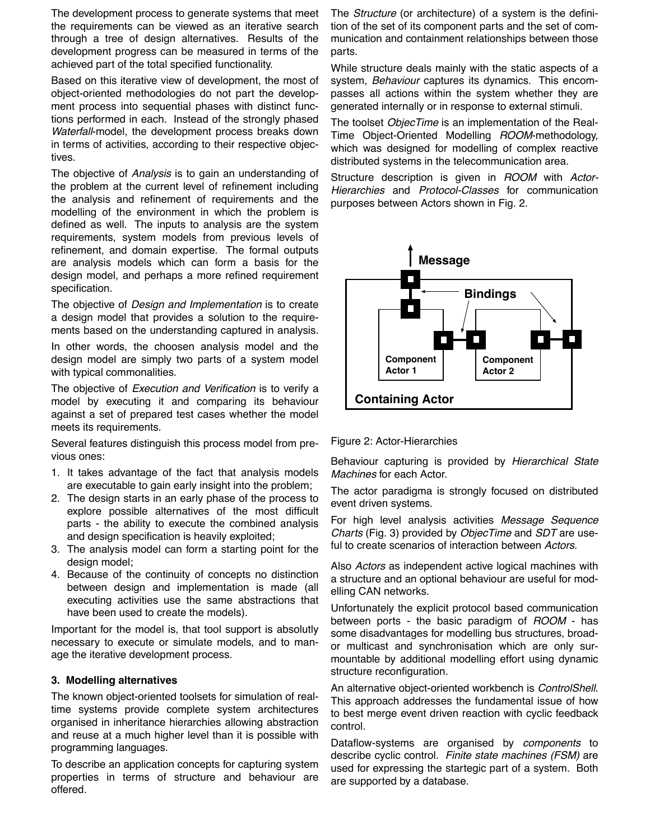The development process to generate systems that meet the requirements can be viewed as an iterative search through a tree of design alternatives. Results of the development progress can be measured in terms of the achieved part of the total specified functionality.

Based on this iterative view of development, the most of object-oriented methodologies do not part the development process into sequential phases with distinct functions performed in each. Instead of the strongly phased *Waterfall*-model, the development process breaks down in terms of activities, according to their respective objectives.

The objective of *Analysis* is to gain an understanding of the problem at the current level of refinement including the analysis and refinement of requirements and the modelling of the environment in which the problem is defined as well. The inputs to analysis are the system requirements, system models from previous levels of refinement, and domain expertise. The formal outputs are analysis models which can form a basis for the design model, and perhaps a more refined requirement specification.

The objective of *Design and Implementation* is to create a design model that provides a solution to the requirements based on the understanding captured in analysis.

In other words, the choosen analysis model and the design model are simply two parts of a system model with typical commonalities.

The objective of *Execution and Verification* is to verify a model by executing it and comparing its behaviour against a set of prepared test cases whether the model meets its requirements.

Several features distinguish this process model from previous ones:

- 1. It takes advantage of the fact that analysis models are executable to gain early insight into the problem;
- 2. The design starts in an early phase of the process to explore possible alternatives of the most difficult parts - the ability to execute the combined analysis and design specification is heavily exploited;
- 3. The analysis model can form a starting point for the design model;
- 4. Because of the continuity of concepts no distinction between design and implementation is made (all executing activities use the same abstractions that have been used to create the models).

Important for the model is, that tool support is absolutly necessary to execute or simulate models, and to manage the iterative development process.

# **3. Modelling alternatives**

The known object-oriented toolsets for simulation of realtime systems provide complete system architectures organised in inheritance hierarchies allowing abstraction and reuse at a much higher level than it is possible with programming languages.

To describe an application concepts for capturing system properties in terms of structure and behaviour are offered.

The *Structure* (or architecture) of a system is the definition of the set of its component parts and the set of communication and containment relationships between those parts.

While structure deals mainly with the static aspects of a system, *Behaviour* captures its dynamics. This encompasses all actions within the system whether they are generated internally or in response to external stimuli.

The toolset *ObjecTime* is an implementation of the Real-Time Object-Oriented Modelling *ROOM*-methodology, which was designed for modelling of complex reactive distributed systems in the telecommunication area.

Structure description is given in *ROOM* with *Actor-Hierarchies* and *Protocol-Classes* for communication purposes between Actors shown in Fig. 2.



Figure 2: Actor-Hierarchies

Behaviour capturing is provided by *Hierarchical State Machines* for each Actor.

The actor paradigma is strongly focused on distributed event driven systems.

For high level analysis activities *Message Sequence Char ts* (Fig. 3) provided by *ObjecTime* and *SDT* are useful to create scenarios of interaction between *Actors.*

Also *Actors* as independent active logical machines with a structure and an optional behaviour are useful for modelling CAN networks.

Unfortunately the explicit protocol based communication between ports - the basic paradigm of *ROOM* - has some disadvantages for modelling bus structures, broador multicast and synchronisation which are only surmountable by additional modelling effort using dynamic structure reconfiguration.

An alternative object-or iented workbench is *ControlShell*. This approach addresses the fundamental issue of how to best merge event driven reaction with cyclic feedback control.

Dataflow-systems are organised by *components* to descr ibe cyclic control. *Finite state machines (FSM)* are used for expressing the startegic part of a system. Both are supported by a database.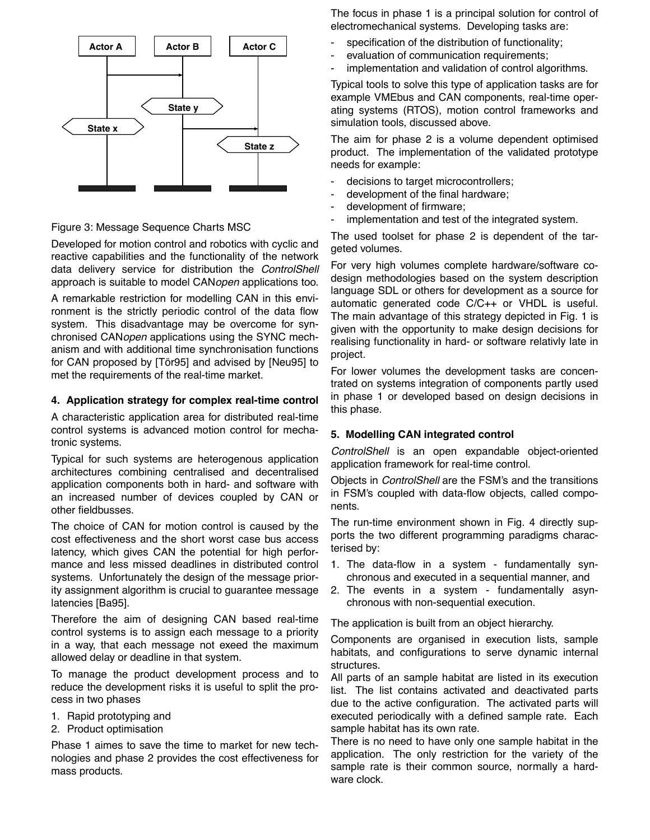

## Figure 3: Message Sequence Charts MSC

Developed for motion control and robotics with cyclic and reactive capabilities and the functionality of the network data delivery service for distribution the *ControlShell* approach is suitable to model CAN*open* applications too.

A remarkable restriction for modelling CAN in this environment is the strictly periodic control of the data flow system. This disadvantage may be overcome for synchronised CAN*open* applications using the SYNC mechanism and with additional time synchronisation functions for CAN proposed by [Tör95] and advised by [Neu95] to met the requirements of the real-time market.

#### **4. Application strategy for complex real-time control**

A characteristic application area for distributed real-time control systems is advanced motion control for mechatronic systems.

Typical for such systems are heterogenous application architectures combining centralised and decentralised application components both in hard- and software with an increased number of devices coupled by CAN or other fieldbusses.

The choice of CAN for motion control is caused by the cost effectiveness and the short worst case bus access latency, which gives CAN the potential for high performance and less missed deadlines in distributed control systems. Unfortunately the design of the message priority assignment algorithm is crucial to guarantee message latencies [Ba95].

Therefore the aim of designing CAN based real-time control systems is to assign each message to a priority in a way, that each message not exeed the maximum allowed delay or deadline in that system.

To manage the product development process and to reduce the development risks it is useful to split the process in two phases

- 1. Rapid prototyping and
- 2. Product optimisation

Phase 1 aimes to save the time to market for new technologies and phase 2 provides the cost effectiveness for mass products.

The focus in phase 1 is a principal solution for control of electromechanical systems. Developing tasks are:

- specification of the distribution of functionality;
- evaluation of communication requirements;
- implementation and validation of control algorithms.

Typical tools to solve this type of application tasks are for example VMEbus and CAN components, real-time operating systems (RTOS), motion control frameworks and simulation tools, discussed above.

The aim for phase 2 is a volume dependent optimised product. The implementation of the validated prototype needs for example:

- decisions to target microcontrollers;
- development of the final hardware;
- development of firmware;
- implementation and test of the integrated system.

The used toolset for phase 2 is dependent of the targeted volumes.

For very high volumes complete hardware/software codesign methodologies based on the system description language SDL or others for development as a source for automatic generated code C/C++ or VHDL is useful. The main advantage of this strategy depicted in Fig. 1 is given with the opportunity to make design decisions for realising functionality in hard- or software relativly late in project.

For lower volumes the development tasks are concentrated on systems integration of components partly used in phase 1 or developed based on design decisions in this phase.

# **5. Modelling CAN integrated control**

*ControlShell* is an open expandable object-oriented application framework for real-time control.

Objects in *ControlShell* are the FSM's and the transitions in FSM's coupled with data-flow objects, called components.

The run-time environment shown in Fig. 4 directly supports the two different programming paradigms characterised by:

- 1. The data-flow in a system fundamentally synchronous and executed in a sequential manner, and
- 2. The events in a system fundamentally asynchronous with non-sequential execution.

The application is built from an object hierarchy.

Components are organised in execution lists, sample habitats, and configurations to serve dynamic internal structures.

All parts of an sample habitat are listed in its execution list. The list contains activated and deactivated parts due to the active configuration. The activated parts will executed periodically with a defined sample rate. Each sample habitat has its own rate.

There is no need to have only one sample habitat in the application. The only restriction for the variety of the sample rate is their common source, normally a hardware clock.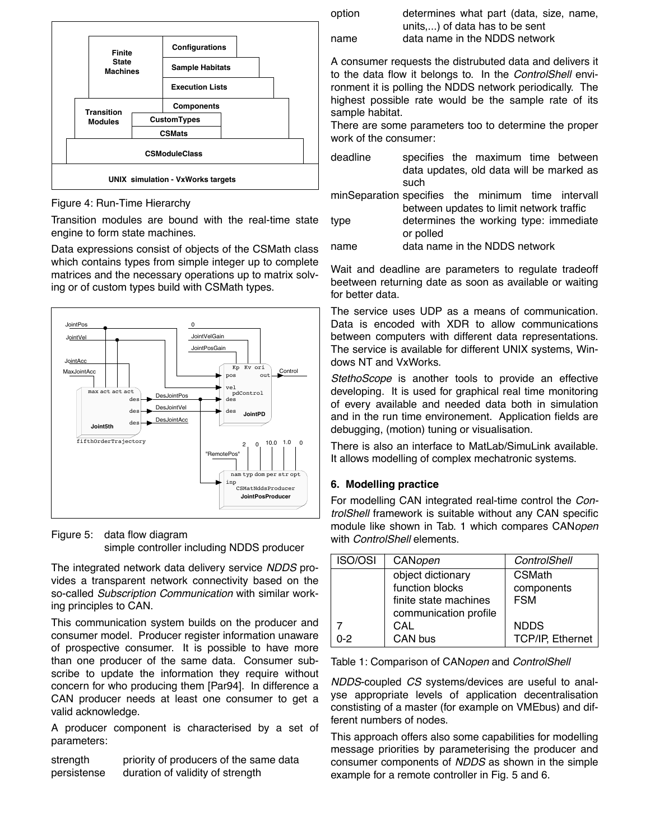

Figure 4: Run-Time Hierarchy

Transition modules are bound with the real-time state engine to form state machines.

Data expressions consist of objects of the CSMath class which contains types from simple integer up to complete matrices and the necessary operations up to matrix solving or of custom types build with CSMath types.



Figure 5: data flow diagram simple controller including NDDS producer

The integrated network data delivery service *NDDS* provides a transparent network connectivity based on the so-called *Subscription Communication* with similar working principles to CAN.

This communication system builds on the producer and consumer model. Producer register information unaware of prospective consumer. It is possible to have more than one producer of the same data. Consumer subscribe to update the information they require without concern for who producing them [Par94]. In difference a CAN producer needs at least one consumer to get a valid acknowledge.

A producer component is characterised by a set of parameters:

strength priority of producers of the same data persistense duration of validity of strength

| option | determines what part (data, size, name, |
|--------|-----------------------------------------|
|        | units) of data has to be sent           |
| name   | data name in the NDDS network           |

A consumer requests the distrubuted data and delivers it to the data flow it belongs to. In the *ControlShell* environment it is polling the NDDS network periodically. The highest possible rate would be the sample rate of its sample habitat.

There are some parameters too to determine the proper work of the consumer:

| deadline | specifies the maximum time between       |  |  |  |
|----------|------------------------------------------|--|--|--|
|          | data updates, old data will be marked as |  |  |  |
|          | such                                     |  |  |  |
|          |                                          |  |  |  |

minSeparation specifies the minimum time intervall between updates to limit network traffic

| type | determines the working type: immediate |  |  |
|------|----------------------------------------|--|--|
|      | or polled                              |  |  |
|      |                                        |  |  |

name data name in the NDDS network

Wait and deadline are parameters to regulate tradeoff beetween returning date as soon as available or waiting for better data.

The service uses UDP as a means of communication. Data is encoded with XDR to allow communications between computers with different data representations. The service is available for different UNIX systems, Windows NT and VxWorks.

*StethoScope* is another tools to provide an effective developing. It is used for graphical real time monitoring of every available and needed data both in simulation and in the run time environement. Application fields are debugging, (motion) tuning or visualisation.

There is also an interface to MatLab/SimuLink available. It allows modelling of complex mechatronic systems.

# **6. Modelling practice**

For modelling CAN integrated real-time control the *ControlShell* framework is suitable without any CAN specific module like shown in Tab. 1 which compares CAN*open* with *ControlShell* elements.

| <b>ISO/OSI</b> | CANopen               | ControlShell            |
|----------------|-----------------------|-------------------------|
|                | object dictionary     | <b>CSMath</b>           |
|                | function blocks       | components              |
|                | finite state machines | <b>FSM</b>              |
|                | communication profile |                         |
|                | CAL                   | <b>NDDS</b>             |
| $0 - 2$        | CAN bus               | <b>TCP/IP, Ethernet</b> |

Table 1: Comparison of CAN*open* and *ControlShell* 

*NDDS*-coupled *CS* systems/devices are useful to analyse appropriate levels of application decentralisation constisting of a master (for example on VMEbus) and different numbers of nodes.

This approach offers also some capabilities for modelling message priorities by parameterising the producer and consumer components of *NDDS* as shown in the simple example for a remote controller in Fig. 5 and 6.